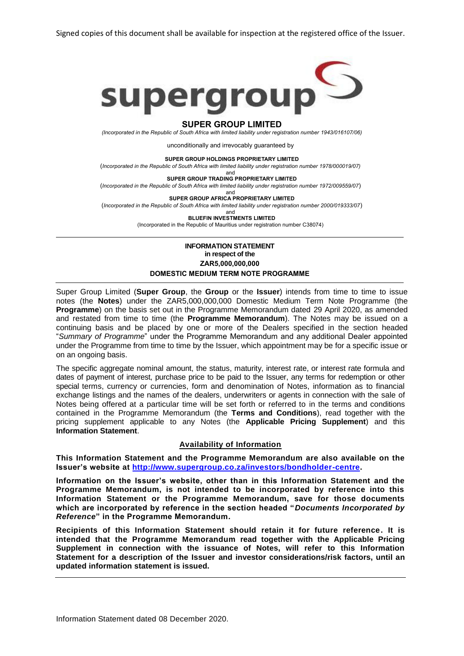Signed copies of this document shall be available for inspection at the registered office of the Issuer.



#### **SUPER GROUP LIMITED**

*(Incorporated in the Republic of South Africa with limited liability under registration number 1943/016107/06)*

unconditionally and irrevocably guaranteed by

**SUPER GROUP HOLDINGS PROPRIETARY LIMITED**

(*Incorporated in the Republic of South Africa with limited liability under registration number 1978/000019/07)*

and **SUPER GROUP TRADING PROPRIETARY LIMITED**

(*Incorporated in the Republic of South Africa with limited liability under registration number 1972/009559/07*)

and **SUPER GROUP AFRICA PROPRIETARY LIMITED**

(*Incorporated in the Republic of South Africa with limited liability under registration number 2000/019333/07*)

and **BLUEFIN INVESTMENTS LIMITED**

(Incorporated in the Republic of Mauritius under registration number C38074)

## **INFORMATION STATEMENT in respect of the ZAR5,000,000,000 DOMESTIC MEDIUM TERM NOTE PROGRAMME**

Super Group Limited (**Super Group**, the **Group** or the **Issuer**) intends from time to time to issue notes (the **Notes**) under the ZAR5,000,000,000 Domestic Medium Term Note Programme (the **Programme**) on the basis set out in the Programme Memorandum dated 29 April 2020, as amended and restated from time to time (the **Programme Memorandum**). The Notes may be issued on a continuing basis and be placed by one or more of the Dealers specified in the section headed "*Summary of Programme*" under the Programme Memorandum and any additional Dealer appointed under the Programme from time to time by the Issuer, which appointment may be for a specific issue or on an ongoing basis.

The specific aggregate nominal amount, the status, maturity, interest rate, or interest rate formula and dates of payment of interest, purchase price to be paid to the Issuer, any terms for redemption or other special terms, currency or currencies, form and denomination of Notes, information as to financial exchange listings and the names of the dealers, underwriters or agents in connection with the sale of Notes being offered at a particular time will be set forth or referred to in the terms and conditions contained in the Programme Memorandum (the **Terms and Conditions**), read together with the pricing supplement applicable to any Notes (the **Applicable Pricing Supplement**) and this **Information Statement**.

### **Availability of Information**

**This Information Statement and the Programme Memorandum are also available on the Issuer's website at [http://www.supergroup.co.za/investors/bondholder-centre.](http://www.supergroup.co.za/investors/bondholder-centre)**

**Information on the Issuer's website, other than in this Information Statement and the Programme Memorandum, is not intended to be incorporated by reference into this Information Statement or the Programme Memorandum, save for those documents which are incorporated by reference in the section headed "***Documents Incorporated by Reference***" in the Programme Memorandum.**

**Recipients of this Information Statement should retain it for future reference. It is intended that the Programme Memorandum read together with the Applicable Pricing Supplement in connection with the issuance of Notes, will refer to this Information Statement for a description of the Issuer and investor considerations/risk factors, until an updated information statement is issued.**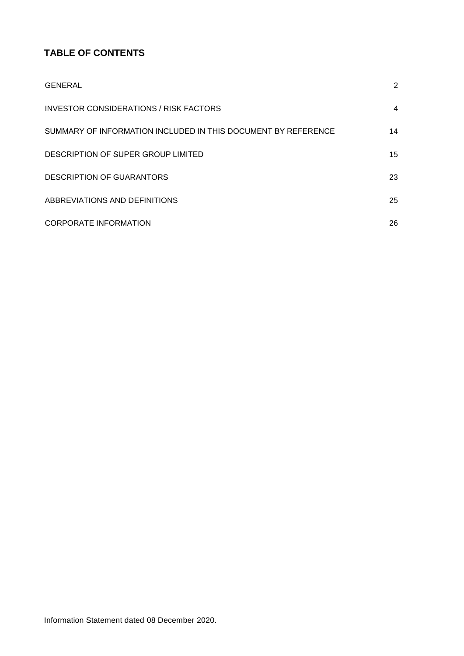# **TABLE OF CONTENTS**

| <b>GENERAL</b>                                                | $\overline{2}$ |
|---------------------------------------------------------------|----------------|
| INVESTOR CONSIDERATIONS / RISK FACTORS                        | 4              |
| SUMMARY OF INFORMATION INCLUDED IN THIS DOCUMENT BY REFERENCE | 14             |
| DESCRIPTION OF SUPER GROUP LIMITED                            | 15             |
| <b>DESCRIPTION OF GUARANTORS</b>                              | 23             |
| ABBREVIATIONS AND DEFINITIONS                                 | 25             |
| <b>CORPORATE INFORMATION</b>                                  | 26             |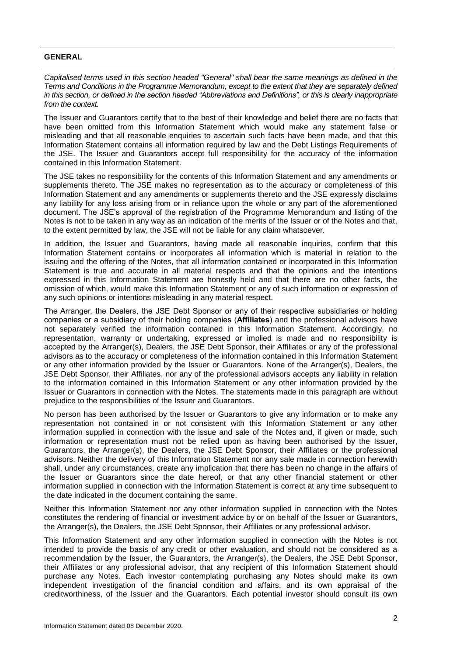## <span id="page-2-0"></span>**GENERAL**

*Capitalised terms used in this section headed "General" shall bear the same meanings as defined in the Terms and Conditions in the Programme Memorandum, except to the extent that they are separately defined in this section, or defined in the section headed "Abbreviations and Definitions", or this is clearly inappropriate from the context.* 

The Issuer and Guarantors certify that to the best of their knowledge and belief there are no facts that have been omitted from this Information Statement which would make any statement false or misleading and that all reasonable enquiries to ascertain such facts have been made, and that this Information Statement contains all information required by law and the Debt Listings Requirements of the JSE. The Issuer and Guarantors accept full responsibility for the accuracy of the information contained in this Information Statement.

The JSE takes no responsibility for the contents of this Information Statement and any amendments or supplements thereto. The JSE makes no representation as to the accuracy or completeness of this Information Statement and any amendments or supplements thereto and the JSE expressly disclaims any liability for any loss arising from or in reliance upon the whole or any part of the aforementioned document. The JSE's approval of the registration of the Programme Memorandum and listing of the Notes is not to be taken in any way as an indication of the merits of the Issuer or of the Notes and that, to the extent permitted by law, the JSE will not be liable for any claim whatsoever.

In addition, the Issuer and Guarantors, having made all reasonable inquiries, confirm that this Information Statement contains or incorporates all information which is material in relation to the issuing and the offering of the Notes, that all information contained or incorporated in this Information Statement is true and accurate in all material respects and that the opinions and the intentions expressed in this Information Statement are honestly held and that there are no other facts, the omission of which, would make this Information Statement or any of such information or expression of any such opinions or intentions misleading in any material respect.

The Arranger, the Dealers, the JSE Debt Sponsor or any of their respective subsidiaries or holding companies or a subsidiary of their holding companies (**Affiliates**) and the professional advisors have not separately verified the information contained in this Information Statement. Accordingly, no representation, warranty or undertaking, expressed or implied is made and no responsibility is accepted by the Arranger(s), Dealers, the JSE Debt Sponsor, their Affiliates or any of the professional advisors as to the accuracy or completeness of the information contained in this Information Statement or any other information provided by the Issuer or Guarantors. None of the Arranger(s), Dealers, the JSE Debt Sponsor, their Affiliates, nor any of the professional advisors accepts any liability in relation to the information contained in this Information Statement or any other information provided by the Issuer or Guarantors in connection with the Notes. The statements made in this paragraph are without prejudice to the responsibilities of the Issuer and Guarantors.

No person has been authorised by the Issuer or Guarantors to give any information or to make any representation not contained in or not consistent with this Information Statement or any other information supplied in connection with the issue and sale of the Notes and, if given or made, such information or representation must not be relied upon as having been authorised by the Issuer, Guarantors, the Arranger(s), the Dealers, the JSE Debt Sponsor, their Affiliates or the professional advisors. Neither the delivery of this Information Statement nor any sale made in connection herewith shall, under any circumstances, create any implication that there has been no change in the affairs of the Issuer or Guarantors since the date hereof, or that any other financial statement or other information supplied in connection with the Information Statement is correct at any time subsequent to the date indicated in the document containing the same.

Neither this Information Statement nor any other information supplied in connection with the Notes constitutes the rendering of financial or investment advice by or on behalf of the Issuer or Guarantors, the Arranger(s), the Dealers, the JSE Debt Sponsor, their Affiliates or any professional advisor.

This Information Statement and any other information supplied in connection with the Notes is not intended to provide the basis of any credit or other evaluation, and should not be considered as a recommendation by the Issuer, the Guarantors, the Arranger(s), the Dealers, the JSE Debt Sponsor, their Affiliates or any professional advisor, that any recipient of this Information Statement should purchase any Notes. Each investor contemplating purchasing any Notes should make its own independent investigation of the financial condition and affairs, and its own appraisal of the creditworthiness, of the Issuer and the Guarantors. Each potential investor should consult its own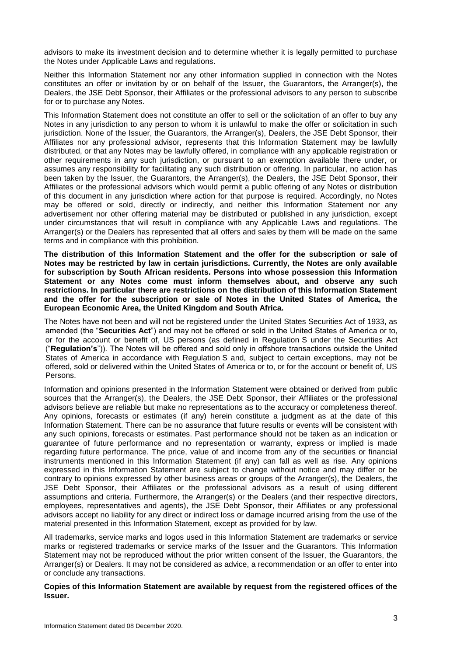advisors to make its investment decision and to determine whether it is legally permitted to purchase the Notes under Applicable Laws and regulations.

Neither this Information Statement nor any other information supplied in connection with the Notes constitutes an offer or invitation by or on behalf of the Issuer, the Guarantors, the Arranger(s), the Dealers, the JSE Debt Sponsor, their Affiliates or the professional advisors to any person to subscribe for or to purchase any Notes.

This Information Statement does not constitute an offer to sell or the solicitation of an offer to buy any Notes in any jurisdiction to any person to whom it is unlawful to make the offer or solicitation in such jurisdiction. None of the Issuer, the Guarantors, the Arranger(s), Dealers, the JSE Debt Sponsor, their Affiliates nor any professional advisor, represents that this Information Statement may be lawfully distributed, or that any Notes may be lawfully offered, in compliance with any applicable registration or other requirements in any such jurisdiction, or pursuant to an exemption available there under, or assumes any responsibility for facilitating any such distribution or offering. In particular, no action has been taken by the Issuer, the Guarantors, the Arranger(s), the Dealers, the JSE Debt Sponsor, their Affiliates or the professional advisors which would permit a public offering of any Notes or distribution of this document in any jurisdiction where action for that purpose is required. Accordingly, no Notes may be offered or sold, directly or indirectly, and neither this Information Statement nor any advertisement nor other offering material may be distributed or published in any jurisdiction, except under circumstances that will result in compliance with any Applicable Laws and regulations. The Arranger(s) or the Dealers has represented that all offers and sales by them will be made on the same terms and in compliance with this prohibition.

**The distribution of this Information Statement and the offer for the subscription or sale of Notes may be restricted by law in certain jurisdictions. Currently, the Notes are only available for subscription by South African residents. Persons into whose possession this Information Statement or any Notes come must inform themselves about, and observe any such restrictions. In particular there are restrictions on the distribution of this Information Statement and the offer for the subscription or sale of Notes in the United States of America, the European Economic Area, the United Kingdom and South Africa.**

The Notes have not been and will not be registered under the United States Securities Act of 1933, as amended (the "**Securities Act**") and may not be offered or sold in the United States of America or to, or for the account or benefit of, US persons (as defined in Regulation S under the Securities Act ("**Regulation's**")). The Notes will be offered and sold only in offshore transactions outside the United States of America in accordance with Regulation S and, subject to certain exceptions, may not be offered, sold or delivered within the United States of America or to, or for the account or benefit of, US Persons.

Information and opinions presented in the Information Statement were obtained or derived from public sources that the Arranger(s), the Dealers, the JSE Debt Sponsor, their Affiliates or the professional advisors believe are reliable but make no representations as to the accuracy or completeness thereof. Any opinions, forecasts or estimates (if any) herein constitute a judgment as at the date of this Information Statement. There can be no assurance that future results or events will be consistent with any such opinions, forecasts or estimates. Past performance should not be taken as an indication or guarantee of future performance and no representation or warranty, express or implied is made regarding future performance. The price, value of and income from any of the securities or financial instruments mentioned in this Information Statement (if any) can fall as well as rise. Any opinions expressed in this Information Statement are subject to change without notice and may differ or be contrary to opinions expressed by other business areas or groups of the Arranger(s), the Dealers, the JSE Debt Sponsor, their Affiliates or the professional advisors as a result of using different assumptions and criteria. Furthermore, the Arranger(s) or the Dealers (and their respective directors, employees, representatives and agents), the JSE Debt Sponsor, their Affiliates or any professional advisors accept no liability for any direct or indirect loss or damage incurred arising from the use of the material presented in this Information Statement, except as provided for by law.

All trademarks, service marks and logos used in this Information Statement are trademarks or service marks or registered trademarks or service marks of the Issuer and the Guarantors. This Information Statement may not be reproduced without the prior written consent of the Issuer, the Guarantors, the Arranger(s) or Dealers. It may not be considered as advice, a recommendation or an offer to enter into or conclude any transactions.

**Copies of this Information Statement are available by request from the registered offices of the Issuer.**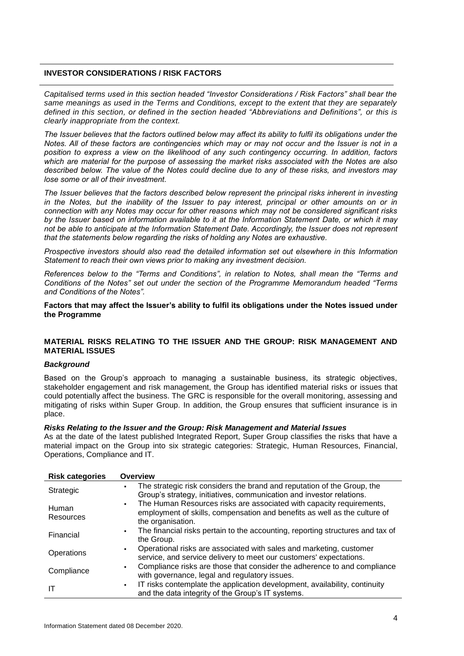## <span id="page-4-0"></span>**INVESTOR CONSIDERATIONS / RISK FACTORS**

*Capitalised terms used in this section headed "Investor Considerations / Risk Factors" shall bear the same meanings as used in the Terms and Conditions, except to the extent that they are separately defined in this section, or defined in the section headed "Abbreviations and Definitions", or this is clearly inappropriate from the context.*

*The Issuer believes that the factors outlined below may affect its ability to fulfil its obligations under the Notes. All of these factors are contingencies which may or may not occur and the Issuer is not in a position to express a view on the likelihood of any such contingency occurring. In addition, factors which are material for the purpose of assessing the market risks associated with the Notes are also described below. The value of the Notes could decline due to any of these risks, and investors may lose some or all of their investment.*

*The Issuer believes that the factors described below represent the principal risks inherent in investing in the Notes, but the inability of the Issuer to pay interest, principal or other amounts on or in connection with any Notes may occur for other reasons which may not be considered significant risks by the Issuer based on information available to it at the Information Statement Date, or which it may not be able to anticipate at the Information Statement Date. Accordingly, the Issuer does not represent that the statements below regarding the risks of holding any Notes are exhaustive.* 

*Prospective investors should also read the detailed information set out elsewhere in this Information Statement to reach their own views prior to making any investment decision.* 

*References below to the "Terms and Conditions", in relation to Notes, shall mean the "Terms and Conditions of the Notes" set out under the section of the Programme Memorandum headed "Terms and Conditions of the Notes".* 

**Factors that may affect the Issuer's ability to fulfil its obligations under the Notes issued under the Programme**

## **MATERIAL RISKS RELATING TO THE ISSUER AND THE GROUP: RISK MANAGEMENT AND MATERIAL ISSUES**

### *Background*

Based on the Group's approach to managing a sustainable business, its strategic objectives, stakeholder engagement and risk management, the Group has identified material risks or issues that could potentially affect the business. The GRC is responsible for the overall monitoring, assessing and mitigating of risks within Super Group. In addition, the Group ensures that sufficient insurance is in place.

#### *Risks Relating to the Issuer and the Group: Risk Management and Material Issues*

As at the date of the latest published Integrated Report, Super Group classifies the risks that have a material impact on the Group into six strategic categories: Strategic, Human Resources, Financial, Operations, Compliance and IT.

| <b>Risk categories</b>    | <b>Overview</b>                                                                                                                                                                          |
|---------------------------|------------------------------------------------------------------------------------------------------------------------------------------------------------------------------------------|
| Strategic                 | The strategic risk considers the brand and reputation of the Group, the<br>Group's strategy, initiatives, communication and investor relations.                                          |
| Human<br><b>Resources</b> | The Human Resources risks are associated with capacity requirements,<br>$\blacksquare$<br>employment of skills, compensation and benefits as well as the culture of<br>the organisation. |
| Financial                 | The financial risks pertain to the accounting, reporting structures and tax of<br>$\blacksquare$<br>the Group.                                                                           |
| Operations                | Operational risks are associated with sales and marketing, customer<br>service, and service delivery to meet our customers' expectations.                                                |
| Compliance                | Compliance risks are those that consider the adherence to and compliance<br>with governance, legal and regulatory issues.                                                                |
| ΙT                        | IT risks contemplate the application development, availability, continuity<br>$\blacksquare$<br>and the data integrity of the Group's IT systems.                                        |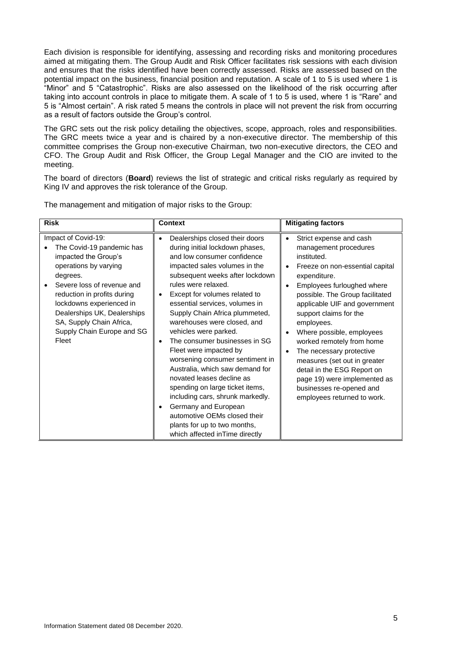Each division is responsible for identifying, assessing and recording risks and monitoring procedures aimed at mitigating them. The Group Audit and Risk Officer facilitates risk sessions with each division and ensures that the risks identified have been correctly assessed. Risks are assessed based on the potential impact on the business, financial position and reputation. A scale of 1 to 5 is used where 1 is "Minor" and 5 "Catastrophic". Risks are also assessed on the likelihood of the risk occurring after taking into account controls in place to mitigate them. A scale of 1 to 5 is used, where 1 is "Rare" and 5 is "Almost certain". A risk rated 5 means the controls in place will not prevent the risk from occurring as a result of factors outside the Group's control.

The GRC sets out the risk policy detailing the objectives, scope, approach, roles and responsibilities. The GRC meets twice a year and is chaired by a non-executive director. The membership of this committee comprises the Group non-executive Chairman, two non-executive directors, the CEO and CFO. The Group Audit and Risk Officer, the Group Legal Manager and the CIO are invited to the meeting.

The board of directors (**Board**) reviews the list of strategic and critical risks regularly as required by King IV and approves the risk tolerance of the Group.

| <b>Risk</b>                                                                                                                                                                                                                                                                                              | <b>Context</b>                                                                                                                                                                                                                                                                                                                                                                                                                                                                                                                                                                                                                                                                                                           | <b>Mitigating factors</b>                                                                                                                                                                                                                                                                                                                                                                                                                                                                                    |
|----------------------------------------------------------------------------------------------------------------------------------------------------------------------------------------------------------------------------------------------------------------------------------------------------------|--------------------------------------------------------------------------------------------------------------------------------------------------------------------------------------------------------------------------------------------------------------------------------------------------------------------------------------------------------------------------------------------------------------------------------------------------------------------------------------------------------------------------------------------------------------------------------------------------------------------------------------------------------------------------------------------------------------------------|--------------------------------------------------------------------------------------------------------------------------------------------------------------------------------------------------------------------------------------------------------------------------------------------------------------------------------------------------------------------------------------------------------------------------------------------------------------------------------------------------------------|
| Impact of Covid-19:<br>The Covid-19 pandemic has<br>impacted the Group's<br>operations by varying<br>degrees.<br>Severe loss of revenue and<br>reduction in profits during<br>lockdowns experienced in<br>Dealerships UK, Dealerships<br>SA, Supply Chain Africa,<br>Supply Chain Europe and SG<br>Fleet | Dealerships closed their doors<br>during initial lockdown phases,<br>and low consumer confidence<br>impacted sales volumes in the<br>subsequent weeks after lockdown<br>rules were relaxed.<br>Except for volumes related to<br>essential services, volumes in<br>Supply Chain Africa plummeted,<br>warehouses were closed, and<br>vehicles were parked.<br>The consumer businesses in SG<br>Fleet were impacted by<br>worsening consumer sentiment in<br>Australia, which saw demand for<br>novated leases decline as<br>spending on large ticket items,<br>including cars, shrunk markedly.<br>Germany and European<br>automotive OEMs closed their<br>plants for up to two months,<br>which affected in Time directly | Strict expense and cash<br>management procedures<br>instituted.<br>Freeze on non-essential capital<br>expenditure.<br>Employees furloughed where<br>possible. The Group facilitated<br>applicable UIF and government<br>support claims for the<br>employees.<br>Where possible, employees<br>worked remotely from home<br>The necessary protective<br>measures (set out in greater<br>detail in the ESG Report on<br>page 19) were implemented as<br>businesses re-opened and<br>employees returned to work. |

The management and mitigation of major risks to the Group: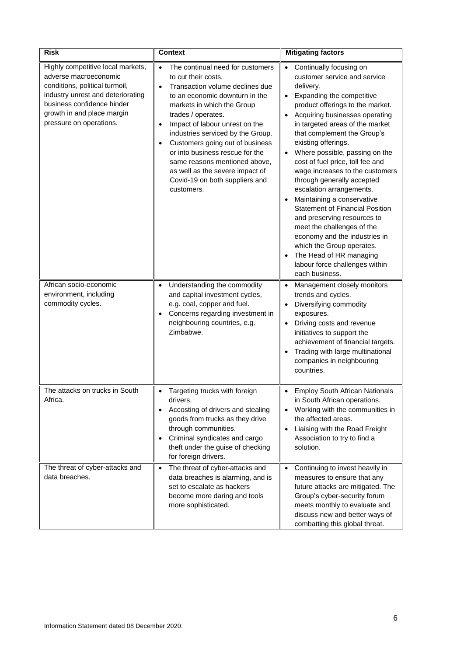| <b>Risk</b>                                                                                                                                                                                                              | Context                                                                                                                                                                                                                                                                                                                                                                                                                                                        | <b>Mitigating factors</b>                                                                                                                                                                                                                                                                                                                                                                                                                                                                                                                                                                                                                                                                                                                       |
|--------------------------------------------------------------------------------------------------------------------------------------------------------------------------------------------------------------------------|----------------------------------------------------------------------------------------------------------------------------------------------------------------------------------------------------------------------------------------------------------------------------------------------------------------------------------------------------------------------------------------------------------------------------------------------------------------|-------------------------------------------------------------------------------------------------------------------------------------------------------------------------------------------------------------------------------------------------------------------------------------------------------------------------------------------------------------------------------------------------------------------------------------------------------------------------------------------------------------------------------------------------------------------------------------------------------------------------------------------------------------------------------------------------------------------------------------------------|
| Highly competitive local markets,<br>adverse macroeconomic<br>conditions, political turmoil,<br>industry unrest and deteriorating<br>business confidence hinder<br>growth in and place margin<br>pressure on operations. | The continual need for customers<br>$\bullet$<br>to cut their costs.<br>Transaction volume declines due<br>to an economic downturn in the<br>markets in which the Group<br>trades / operates.<br>Impact of labour unrest on the<br>industries serviced by the Group.<br>Customers going out of business<br>or into business rescue for the<br>same reasons mentioned above,<br>as well as the severe impact of<br>Covid-19 on both suppliers and<br>customers. | Continually focusing on<br>$\bullet$<br>customer service and service<br>delivery.<br>Expanding the competitive<br>$\bullet$<br>product offerings to the market.<br>Acquiring businesses operating<br>in targeted areas of the market<br>that complement the Group's<br>existing offerings.<br>Where possible, passing on the<br>cost of fuel price, toll fee and<br>wage increases to the customers<br>through generally accepted<br>escalation arrangements.<br>Maintaining a conservative<br><b>Statement of Financial Position</b><br>and preserving resources to<br>meet the challenges of the<br>economy and the industries in<br>which the Group operates.<br>The Head of HR managing<br>labour force challenges within<br>each business. |
| African socio-economic<br>environment, including<br>commodity cycles.                                                                                                                                                    | Understanding the commodity<br>and capital investment cycles,<br>e.g. coal, copper and fuel.<br>Concerns regarding investment in<br>neighbouring countries, e.g.<br>Zimbabwe.                                                                                                                                                                                                                                                                                  | Management closely monitors<br>trends and cycles.<br>Diversifying commodity<br>$\bullet$<br>exposures.<br>Driving costs and revenue<br>$\bullet$<br>initiatives to support the<br>achievement of financial targets.<br>Trading with large multinational<br>companies in neighbouring<br>countries.                                                                                                                                                                                                                                                                                                                                                                                                                                              |
| The attacks on trucks in South<br>Africa.                                                                                                                                                                                | Targeting trucks with foreign<br>drivers.<br>Accosting of drivers and stealing<br>goods from trucks as they drive<br>through communities.<br>Criminal syndicates and cargo<br>theft under the guise of checking<br>for foreign drivers.                                                                                                                                                                                                                        | <b>Employ South African Nationals</b><br>in South African operations.<br>Working with the communities in<br>the affected areas.<br>Liaising with the Road Freight<br>Association to try to find a<br>solution.                                                                                                                                                                                                                                                                                                                                                                                                                                                                                                                                  |
| The threat of cyber-attacks and<br>data breaches.                                                                                                                                                                        | The threat of cyber-attacks and<br>$\bullet$<br>data breaches is alarming, and is<br>set to escalate as hackers<br>become more daring and tools<br>more sophisticated.                                                                                                                                                                                                                                                                                         | Continuing to invest heavily in<br>$\bullet$<br>measures to ensure that any<br>future attacks are mitigated. The<br>Group's cyber-security forum<br>meets monthly to evaluate and<br>discuss new and better ways of<br>combatting this global threat.                                                                                                                                                                                                                                                                                                                                                                                                                                                                                           |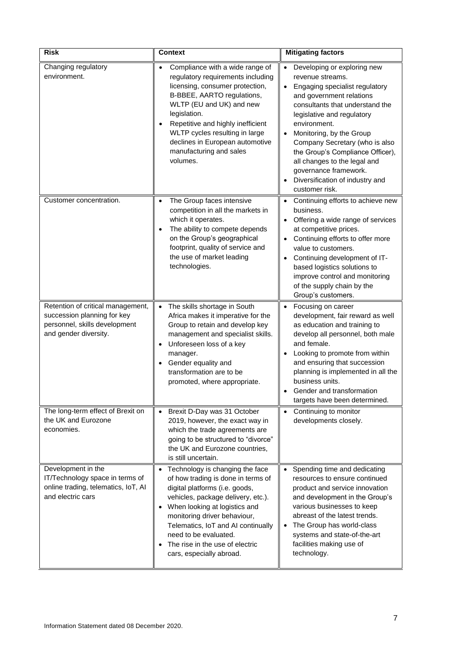| <b>Risk</b>                                                                                                                | <b>Context</b>                                                                                                                                                                                                                                                                                                                                  | <b>Mitigating factors</b>                                                                                                                                                                                                                                                                                                                                                                                                                |
|----------------------------------------------------------------------------------------------------------------------------|-------------------------------------------------------------------------------------------------------------------------------------------------------------------------------------------------------------------------------------------------------------------------------------------------------------------------------------------------|------------------------------------------------------------------------------------------------------------------------------------------------------------------------------------------------------------------------------------------------------------------------------------------------------------------------------------------------------------------------------------------------------------------------------------------|
| Changing regulatory<br>environment.                                                                                        | Compliance with a wide range of<br>$\bullet$<br>regulatory requirements including<br>licensing, consumer protection,<br>B-BBEE, AARTO regulations,<br>WLTP (EU and UK) and new<br>legislation.<br>Repetitive and highly inefficient<br>WLTP cycles resulting in large<br>declines in European automotive<br>manufacturing and sales<br>volumes. | Developing or exploring new<br>$\bullet$<br>revenue streams.<br>Engaging specialist regulatory<br>$\bullet$<br>and government relations<br>consultants that understand the<br>legislative and regulatory<br>environment.<br>Monitoring, by the Group<br>Company Secretary (who is also<br>the Group's Compliance Officer),<br>all changes to the legal and<br>governance framework.<br>Diversification of industry and<br>customer risk. |
| Customer concentration.                                                                                                    | The Group faces intensive<br>$\bullet$<br>competition in all the markets in<br>which it operates.<br>The ability to compete depends<br>$\bullet$<br>on the Group's geographical<br>footprint, quality of service and<br>the use of market leading<br>technologies.                                                                              | Continuing efforts to achieve new<br>$\bullet$<br>business.<br>Offering a wide range of services<br>$\bullet$<br>at competitive prices.<br>Continuing efforts to offer more<br>$\bullet$<br>value to customers.<br>Continuing development of IT-<br>$\bullet$<br>based logistics solutions to<br>improve control and monitoring<br>of the supply chain by the<br>Group's customers.                                                      |
| Retention of critical management,<br>succession planning for key<br>personnel, skills development<br>and gender diversity. | The skills shortage in South<br>$\bullet$<br>Africa makes it imperative for the<br>Group to retain and develop key<br>management and specialist skills.<br>Unforeseen loss of a key<br>manager.<br>Gender equality and<br>transformation are to be<br>promoted, where appropriate.                                                              | Focusing on career<br>$\bullet$<br>development, fair reward as well<br>as education and training to<br>develop all personnel, both male<br>and female.<br>Looking to promote from within<br>and ensuring that succession<br>planning is implemented in all the<br>business units.<br>Gender and transformation<br>targets have been determined.                                                                                          |
| The long-term effect of Brexit on<br>the UK and Eurozone<br>economies.                                                     | Brexit D-Day was 31 October<br>2019, however, the exact way in<br>which the trade agreements are<br>going to be structured to "divorce"<br>the UK and Eurozone countries,<br>is still uncertain.                                                                                                                                                | Continuing to monitor<br>$\bullet$<br>developments closely.                                                                                                                                                                                                                                                                                                                                                                              |
| Development in the<br>IT/Technology space in terms of<br>online trading, telematics, IoT, AI<br>and electric cars          | Technology is changing the face<br>of how trading is done in terms of<br>digital platforms (i.e. goods,<br>vehicles, package delivery, etc.).<br>When looking at logistics and<br>monitoring driver behaviour,<br>Telematics, IoT and AI continually<br>need to be evaluated.<br>The rise in the use of electric<br>cars, especially abroad.    | • Spending time and dedicating<br>resources to ensure continued<br>product and service innovation<br>and development in the Group's<br>various businesses to keep<br>abreast of the latest trends.<br>The Group has world-class<br>systems and state-of-the-art<br>facilities making use of<br>technology.                                                                                                                               |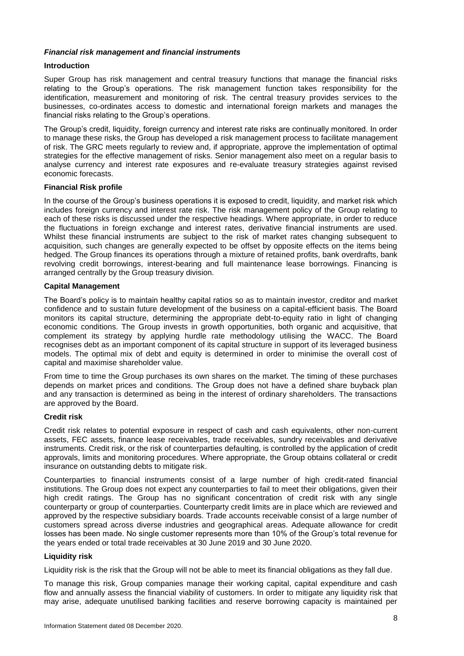## *Financial risk management and financial instruments*

## **Introduction**

Super Group has risk management and central treasury functions that manage the financial risks relating to the Group's operations. The risk management function takes responsibility for the identification, measurement and monitoring of risk. The central treasury provides services to the businesses, co-ordinates access to domestic and international foreign markets and manages the financial risks relating to the Group's operations.

The Group's credit, liquidity, foreign currency and interest rate risks are continually monitored. In order to manage these risks, the Group has developed a risk management process to facilitate management of risk. The GRC meets regularly to review and, if appropriate, approve the implementation of optimal strategies for the effective management of risks. Senior management also meet on a regular basis to analyse currency and interest rate exposures and re-evaluate treasury strategies against revised economic forecasts.

## **Financial Risk profile**

In the course of the Group's business operations it is exposed to credit, liquidity, and market risk which includes foreign currency and interest rate risk. The risk management policy of the Group relating to each of these risks is discussed under the respective headings. Where appropriate, in order to reduce the fluctuations in foreign exchange and interest rates, derivative financial instruments are used. Whilst these financial instruments are subject to the risk of market rates changing subsequent to acquisition, such changes are generally expected to be offset by opposite effects on the items being hedged. The Group finances its operations through a mixture of retained profits, bank overdrafts, bank revolving credit borrowings, interest-bearing and full maintenance lease borrowings. Financing is arranged centrally by the Group treasury division.

## **Capital Management**

The Board's policy is to maintain healthy capital ratios so as to maintain investor, creditor and market confidence and to sustain future development of the business on a capital-efficient basis. The Board monitors its capital structure, determining the appropriate debt-to-equity ratio in light of changing economic conditions. The Group invests in growth opportunities, both organic and acquisitive, that complement its strategy by applying hurdle rate methodology utilising the WACC. The Board recognises debt as an important component of its capital structure in support of its leveraged business models. The optimal mix of debt and equity is determined in order to minimise the overall cost of capital and maximise shareholder value.

From time to time the Group purchases its own shares on the market. The timing of these purchases depends on market prices and conditions. The Group does not have a defined share buyback plan and any transaction is determined as being in the interest of ordinary shareholders. The transactions are approved by the Board.

### **Credit risk**

Credit risk relates to potential exposure in respect of cash and cash equivalents, other non-current assets, FEC assets, finance lease receivables, trade receivables, sundry receivables and derivative instruments. Credit risk, or the risk of counterparties defaulting, is controlled by the application of credit approvals, limits and monitoring procedures. Where appropriate, the Group obtains collateral or credit insurance on outstanding debts to mitigate risk.

Counterparties to financial instruments consist of a large number of high credit-rated financial institutions. The Group does not expect any counterparties to fail to meet their obligations, given their high credit ratings. The Group has no significant concentration of credit risk with any single counterparty or group of counterparties. Counterparty credit limits are in place which are reviewed and approved by the respective subsidiary boards. Trade accounts receivable consist of a large number of customers spread across diverse industries and geographical areas. Adequate allowance for credit losses has been made. No single customer represents more than 10% of the Group's total revenue for the years ended or total trade receivables at 30 June 2019 and 30 June 2020.

### **Liquidity risk**

Liquidity risk is the risk that the Group will not be able to meet its financial obligations as they fall due.

To manage this risk, Group companies manage their working capital, capital expenditure and cash flow and annually assess the financial viability of customers. In order to mitigate any liquidity risk that may arise, adequate unutilised banking facilities and reserve borrowing capacity is maintained per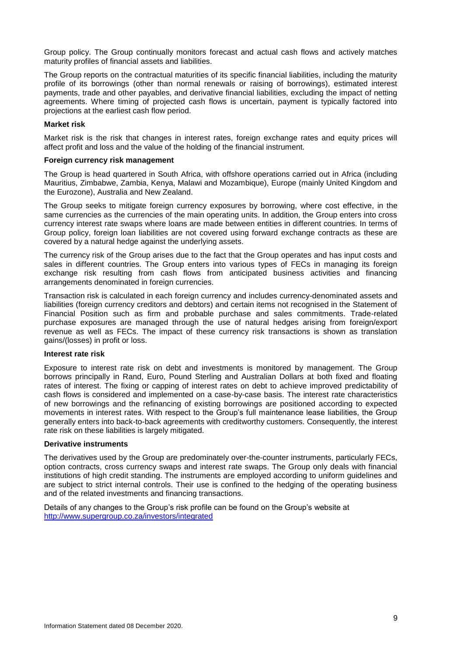Group policy. The Group continually monitors forecast and actual cash flows and actively matches maturity profiles of financial assets and liabilities.

The Group reports on the contractual maturities of its specific financial liabilities, including the maturity profile of its borrowings (other than normal renewals or raising of borrowings), estimated interest payments, trade and other payables, and derivative financial liabilities, excluding the impact of netting agreements. Where timing of projected cash flows is uncertain, payment is typically factored into projections at the earliest cash flow period.

#### **Market risk**

Market risk is the risk that changes in interest rates, foreign exchange rates and equity prices will affect profit and loss and the value of the holding of the financial instrument.

#### **Foreign currency risk management**

The Group is head quartered in South Africa, with offshore operations carried out in Africa (including Mauritius, Zimbabwe, Zambia, Kenya, Malawi and Mozambique), Europe (mainly United Kingdom and the Eurozone), Australia and New Zealand.

The Group seeks to mitigate foreign currency exposures by borrowing, where cost effective, in the same currencies as the currencies of the main operating units. In addition, the Group enters into cross currency interest rate swaps where loans are made between entities in different countries. In terms of Group policy, foreign loan liabilities are not covered using forward exchange contracts as these are covered by a natural hedge against the underlying assets.

The currency risk of the Group arises due to the fact that the Group operates and has input costs and sales in different countries. The Group enters into various types of FECs in managing its foreign exchange risk resulting from cash flows from anticipated business activities and financing arrangements denominated in foreign currencies.

Transaction risk is calculated in each foreign currency and includes currency-denominated assets and liabilities (foreign currency creditors and debtors) and certain items not recognised in the Statement of Financial Position such as firm and probable purchase and sales commitments. Trade-related purchase exposures are managed through the use of natural hedges arising from foreign/export revenue as well as FECs. The impact of these currency risk transactions is shown as translation gains/(losses) in profit or loss.

## **Interest rate risk**

Exposure to interest rate risk on debt and investments is monitored by management. The Group borrows principally in Rand, Euro, Pound Sterling and Australian Dollars at both fixed and floating rates of interest. The fixing or capping of interest rates on debt to achieve improved predictability of cash flows is considered and implemented on a case-by-case basis. The interest rate characteristics of new borrowings and the refinancing of existing borrowings are positioned according to expected movements in interest rates. With respect to the Group's full maintenance lease liabilities, the Group generally enters into back-to-back agreements with creditworthy customers. Consequently, the interest rate risk on these liabilities is largely mitigated.

#### **Derivative instruments**

The derivatives used by the Group are predominately over-the-counter instruments, particularly FECs, option contracts, cross currency swaps and interest rate swaps. The Group only deals with financial institutions of high credit standing. The instruments are employed according to uniform guidelines and are subject to strict internal controls. Their use is confined to the hedging of the operating business and of the related investments and financing transactions.

Details of any changes to the Group's risk profile can be found on the Group's website at <http://www.supergroup.co.za/investors/integrated>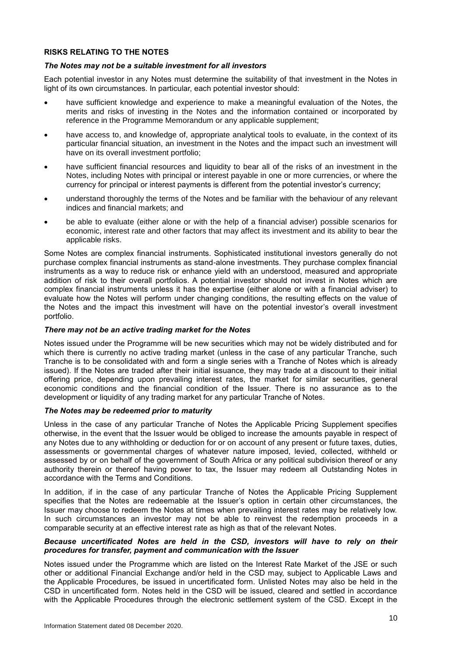## **RISKS RELATING TO THE NOTES**

## *The Notes may not be a suitable investment for all investors*

Each potential investor in any Notes must determine the suitability of that investment in the Notes in light of its own circumstances. In particular, each potential investor should:

- have sufficient knowledge and experience to make a meaningful evaluation of the Notes, the merits and risks of investing in the Notes and the information contained or incorporated by reference in the Programme Memorandum or any applicable supplement;
- have access to, and knowledge of, appropriate analytical tools to evaluate, in the context of its particular financial situation, an investment in the Notes and the impact such an investment will have on its overall investment portfolio;
- have sufficient financial resources and liquidity to bear all of the risks of an investment in the Notes, including Notes with principal or interest payable in one or more currencies, or where the currency for principal or interest payments is different from the potential investor's currency;
- understand thoroughly the terms of the Notes and be familiar with the behaviour of any relevant indices and financial markets; and
- be able to evaluate (either alone or with the help of a financial adviser) possible scenarios for economic, interest rate and other factors that may affect its investment and its ability to bear the applicable risks.

Some Notes are complex financial instruments. Sophisticated institutional investors generally do not purchase complex financial instruments as stand-alone investments. They purchase complex financial instruments as a way to reduce risk or enhance yield with an understood, measured and appropriate addition of risk to their overall portfolios. A potential investor should not invest in Notes which are complex financial instruments unless it has the expertise (either alone or with a financial adviser) to evaluate how the Notes will perform under changing conditions, the resulting effects on the value of the Notes and the impact this investment will have on the potential investor's overall investment portfolio.

## *There may not be an active trading market for the Notes*

Notes issued under the Programme will be new securities which may not be widely distributed and for which there is currently no active trading market (unless in the case of any particular Tranche, such Tranche is to be consolidated with and form a single series with a Tranche of Notes which is already issued). If the Notes are traded after their initial issuance, they may trade at a discount to their initial offering price, depending upon prevailing interest rates, the market for similar securities, general economic conditions and the financial condition of the Issuer. There is no assurance as to the development or liquidity of any trading market for any particular Tranche of Notes.

### *The Notes may be redeemed prior to maturity*

Unless in the case of any particular Tranche of Notes the Applicable Pricing Supplement specifies otherwise, in the event that the Issuer would be obliged to increase the amounts payable in respect of any Notes due to any withholding or deduction for or on account of any present or future taxes, duties, assessments or governmental charges of whatever nature imposed, levied, collected, withheld or assessed by or on behalf of the government of South Africa or any political subdivision thereof or any authority therein or thereof having power to tax, the Issuer may redeem all Outstanding Notes in accordance with the Terms and Conditions.

In addition, if in the case of any particular Tranche of Notes the Applicable Pricing Supplement specifies that the Notes are redeemable at the Issuer's option in certain other circumstances, the Issuer may choose to redeem the Notes at times when prevailing interest rates may be relatively low. In such circumstances an investor may not be able to reinvest the redemption proceeds in a comparable security at an effective interest rate as high as that of the relevant Notes.

## *Because uncertificated Notes are held in the CSD, investors will have to rely on their procedures for transfer, payment and communication with the Issuer*

Notes issued under the Programme which are listed on the Interest Rate Market of the JSE or such other or additional Financial Exchange and/or held in the CSD may, subject to Applicable Laws and the Applicable Procedures, be issued in uncertificated form. Unlisted Notes may also be held in the CSD in uncertificated form. Notes held in the CSD will be issued, cleared and settled in accordance with the Applicable Procedures through the electronic settlement system of the CSD. Except in the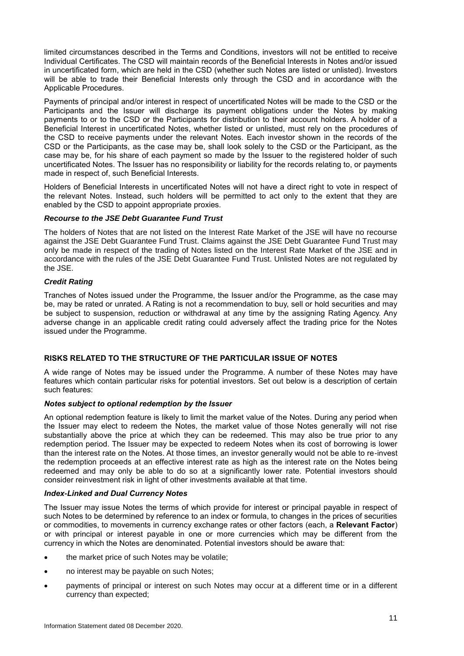limited circumstances described in the Terms and Conditions, investors will not be entitled to receive Individual Certificates. The CSD will maintain records of the Beneficial Interests in Notes and/or issued in uncertificated form, which are held in the CSD (whether such Notes are listed or unlisted). Investors will be able to trade their Beneficial Interests only through the CSD and in accordance with the Applicable Procedures.

Payments of principal and/or interest in respect of uncertificated Notes will be made to the CSD or the Participants and the Issuer will discharge its payment obligations under the Notes by making payments to or to the CSD or the Participants for distribution to their account holders. A holder of a Beneficial Interest in uncertificated Notes, whether listed or unlisted, must rely on the procedures of the CSD to receive payments under the relevant Notes. Each investor shown in the records of the CSD or the Participants, as the case may be, shall look solely to the CSD or the Participant, as the case may be, for his share of each payment so made by the Issuer to the registered holder of such uncertificated Notes. The Issuer has no responsibility or liability for the records relating to, or payments made in respect of, such Beneficial Interests.

Holders of Beneficial Interests in uncertificated Notes will not have a direct right to vote in respect of the relevant Notes. Instead, such holders will be permitted to act only to the extent that they are enabled by the CSD to appoint appropriate proxies.

### *Recourse to the JSE Debt Guarantee Fund Trust*

The holders of Notes that are not listed on the Interest Rate Market of the JSE will have no recourse against the JSE Debt Guarantee Fund Trust. Claims against the JSE Debt Guarantee Fund Trust may only be made in respect of the trading of Notes listed on the Interest Rate Market of the JSE and in accordance with the rules of the JSE Debt Guarantee Fund Trust. Unlisted Notes are not regulated by the JSE.

### *Credit Rating*

Tranches of Notes issued under the Programme, the Issuer and/or the Programme, as the case may be, may be rated or unrated. A Rating is not a recommendation to buy, sell or hold securities and may be subject to suspension, reduction or withdrawal at any time by the assigning Rating Agency. Any adverse change in an applicable credit rating could adversely affect the trading price for the Notes issued under the Programme.

## **RISKS RELATED TO THE STRUCTURE OF THE PARTICULAR ISSUE OF NOTES**

A wide range of Notes may be issued under the Programme. A number of these Notes may have features which contain particular risks for potential investors. Set out below is a description of certain such features:

## *Notes subject to optional redemption by the Issuer*

An optional redemption feature is likely to limit the market value of the Notes. During any period when the Issuer may elect to redeem the Notes, the market value of those Notes generally will not rise substantially above the price at which they can be redeemed. This may also be true prior to any redemption period. The Issuer may be expected to redeem Notes when its cost of borrowing is lower than the interest rate on the Notes. At those times, an investor generally would not be able to re-invest the redemption proceeds at an effective interest rate as high as the interest rate on the Notes being redeemed and may only be able to do so at a significantly lower rate. Potential investors should consider reinvestment risk in light of other investments available at that time.

### *Index-Linked and Dual Currency Notes*

The Issuer may issue Notes the terms of which provide for interest or principal payable in respect of such Notes to be determined by reference to an index or formula, to changes in the prices of securities or commodities, to movements in currency exchange rates or other factors (each, a **Relevant Factor**) or with principal or interest payable in one or more currencies which may be different from the currency in which the Notes are denominated. Potential investors should be aware that:

- the market price of such Notes may be volatile;
- no interest may be payable on such Notes;
- payments of principal or interest on such Notes may occur at a different time or in a different currency than expected;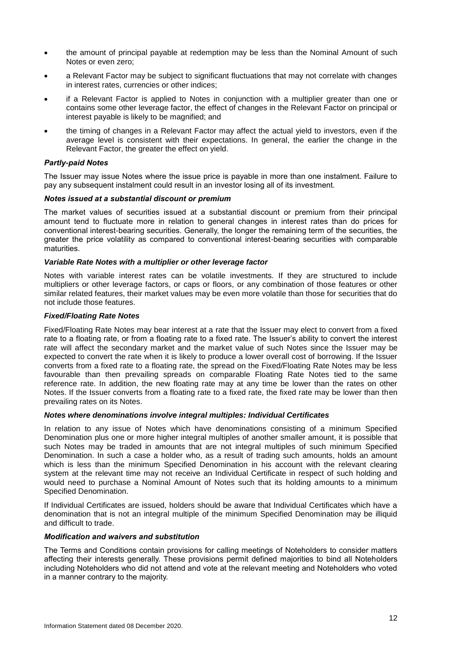- the amount of principal payable at redemption may be less than the Nominal Amount of such Notes or even zero;
- a Relevant Factor may be subject to significant fluctuations that may not correlate with changes in interest rates, currencies or other indices;
- if a Relevant Factor is applied to Notes in conjunction with a multiplier greater than one or contains some other leverage factor, the effect of changes in the Relevant Factor on principal or interest payable is likely to be magnified; and
- the timing of changes in a Relevant Factor may affect the actual yield to investors, even if the average level is consistent with their expectations. In general, the earlier the change in the Relevant Factor, the greater the effect on yield.

## *Partly-paid Notes*

The Issuer may issue Notes where the issue price is payable in more than one instalment. Failure to pay any subsequent instalment could result in an investor losing all of its investment.

### *Notes issued at a substantial discount or premium*

The market values of securities issued at a substantial discount or premium from their principal amount tend to fluctuate more in relation to general changes in interest rates than do prices for conventional interest-bearing securities. Generally, the longer the remaining term of the securities, the greater the price volatility as compared to conventional interest-bearing securities with comparable maturities.

#### *Variable Rate Notes with a multiplier or other leverage factor*

Notes with variable interest rates can be volatile investments. If they are structured to include multipliers or other leverage factors, or caps or floors, or any combination of those features or other similar related features, their market values may be even more volatile than those for securities that do not include those features.

### *Fixed/Floating Rate Notes*

Fixed/Floating Rate Notes may bear interest at a rate that the Issuer may elect to convert from a fixed rate to a floating rate, or from a floating rate to a fixed rate. The Issuer's ability to convert the interest rate will affect the secondary market and the market value of such Notes since the Issuer may be expected to convert the rate when it is likely to produce a lower overall cost of borrowing. If the Issuer converts from a fixed rate to a floating rate, the spread on the Fixed/Floating Rate Notes may be less favourable than then prevailing spreads on comparable Floating Rate Notes tied to the same reference rate. In addition, the new floating rate may at any time be lower than the rates on other Notes. If the Issuer converts from a floating rate to a fixed rate, the fixed rate may be lower than then prevailing rates on its Notes.

### *Notes where denominations involve integral multiples: Individual Certificates*

In relation to any issue of Notes which have denominations consisting of a minimum Specified Denomination plus one or more higher integral multiples of another smaller amount, it is possible that such Notes may be traded in amounts that are not integral multiples of such minimum Specified Denomination. In such a case a holder who, as a result of trading such amounts, holds an amount which is less than the minimum Specified Denomination in his account with the relevant clearing system at the relevant time may not receive an Individual Certificate in respect of such holding and would need to purchase a Nominal Amount of Notes such that its holding amounts to a minimum Specified Denomination.

If Individual Certificates are issued, holders should be aware that Individual Certificates which have a denomination that is not an integral multiple of the minimum Specified Denomination may be illiquid and difficult to trade.

## *Modification and waivers and substitution*

The Terms and Conditions contain provisions for calling meetings of Noteholders to consider matters affecting their interests generally. These provisions permit defined majorities to bind all Noteholders including Noteholders who did not attend and vote at the relevant meeting and Noteholders who voted in a manner contrary to the majority.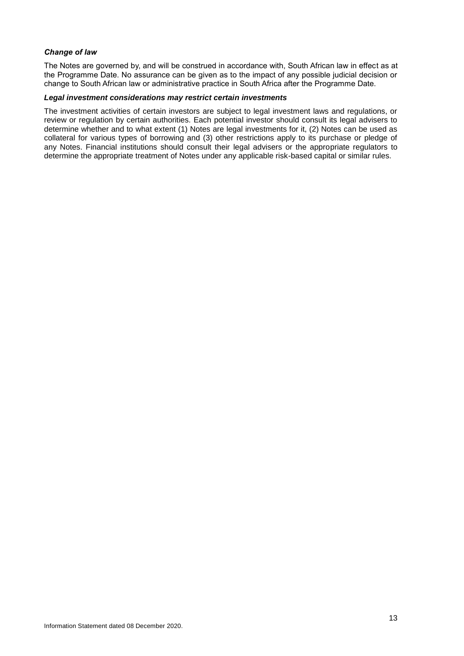## *Change of law*

The Notes are governed by, and will be construed in accordance with, South African law in effect as at the Programme Date. No assurance can be given as to the impact of any possible judicial decision or change to South African law or administrative practice in South Africa after the Programme Date.

### *Legal investment considerations may restrict certain investments*

The investment activities of certain investors are subject to legal investment laws and regulations, or review or regulation by certain authorities. Each potential investor should consult its legal advisers to determine whether and to what extent (1) Notes are legal investments for it, (2) Notes can be used as collateral for various types of borrowing and (3) other restrictions apply to its purchase or pledge of any Notes. Financial institutions should consult their legal advisers or the appropriate regulators to determine the appropriate treatment of Notes under any applicable risk-based capital or similar rules.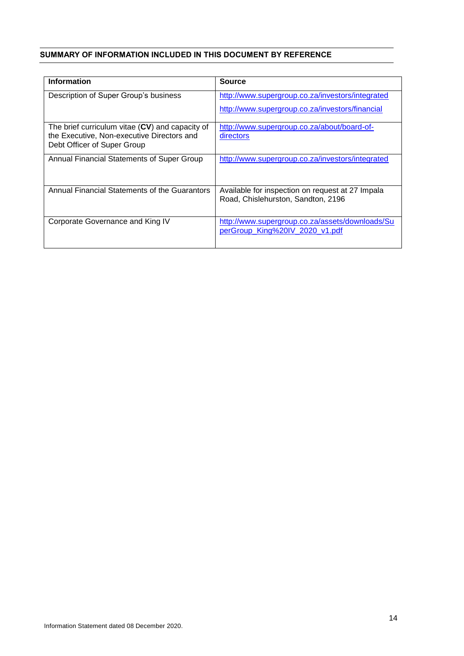## <span id="page-14-0"></span>**SUMMARY OF INFORMATION INCLUDED IN THIS DOCUMENT BY REFERENCE**

| <b>Information</b>                                | <b>Source</b>                                    |
|---------------------------------------------------|--------------------------------------------------|
| Description of Super Group's business             | http://www.supergroup.co.za/investors/integrated |
|                                                   | http://www.supergroup.co.za/investors/financial  |
| The brief curriculum vitae $(CV)$ and capacity of | http://www.supergroup.co.za/about/board-of-      |
| the Executive, Non-executive Directors and        | directors                                        |
| Debt Officer of Super Group                       |                                                  |
| Annual Financial Statements of Super Group        | http://www.supergroup.co.za/investors/integrated |
|                                                   |                                                  |
| Annual Financial Statements of the Guarantors     | Available for inspection on request at 27 Impala |
|                                                   | Road, Chislehurston, Sandton, 2196               |
|                                                   |                                                  |
| Corporate Governance and King IV                  | http://www.supergroup.co.za/assets/downloads/Su  |
|                                                   | perGroup_King%20IV_2020_v1.pdf                   |
|                                                   |                                                  |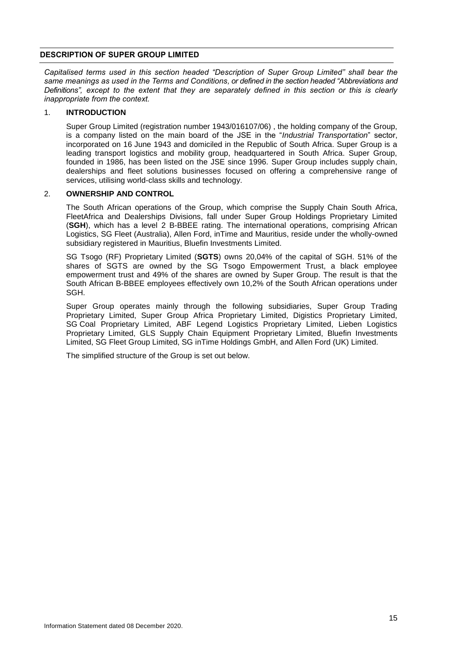## <span id="page-15-0"></span>**DESCRIPTION OF SUPER GROUP LIMITED**

*Capitalised terms used in this section headed "Description of Super Group Limited" shall bear the same meanings as used in the Terms and Conditions, or defined in the section headed "Abbreviations and Definitions", except to the extent that they are separately defined in this section or this is clearly inappropriate from the context.*

### 1. **INTRODUCTION**

Super Group Limited (registration number 1943/016107/06) , the holding company of the Group, is a company listed on the main board of the JSE in the "*Industrial Transportation*" sector, incorporated on 16 June 1943 and domiciled in the Republic of South Africa. Super Group is a leading transport logistics and mobility group, headquartered in South Africa. Super Group, founded in 1986, has been listed on the JSE since 1996. Super Group includes supply chain, dealerships and fleet solutions businesses focused on offering a comprehensive range of services, utilising world-class skills and technology.

## 2. **OWNERSHIP AND CONTROL**

The South African operations of the Group, which comprise the Supply Chain South Africa, FleetAfrica and Dealerships Divisions, fall under Super Group Holdings Proprietary Limited (**SGH**), which has a level 2 B-BBEE rating. The international operations, comprising African Logistics, SG Fleet (Australia), Allen Ford, inTime and Mauritius, reside under the wholly-owned subsidiary registered in Mauritius, Bluefin Investments Limited.

SG Tsogo (RF) Proprietary Limited (**SGTS**) owns 20,04% of the capital of SGH. 51% of the shares of SGTS are owned by the SG Tsogo Empowerment Trust, a black employee empowerment trust and 49% of the shares are owned by Super Group. The result is that the South African B-BBEE employees effectively own 10,2% of the South African operations under SGH.

Super Group operates mainly through the following subsidiaries, Super Group Trading Proprietary Limited, Super Group Africa Proprietary Limited, Digistics Proprietary Limited, SG Coal Proprietary Limited, ABF Legend Logistics Proprietary Limited, Lieben Logistics Proprietary Limited, GLS Supply Chain Equipment Proprietary Limited, Bluefin Investments Limited, SG Fleet Group Limited, SG inTime Holdings GmbH, and Allen Ford (UK) Limited.

The simplified structure of the Group is set out below.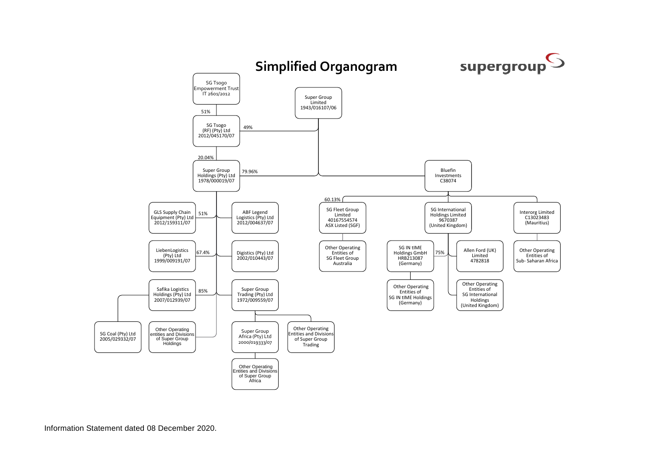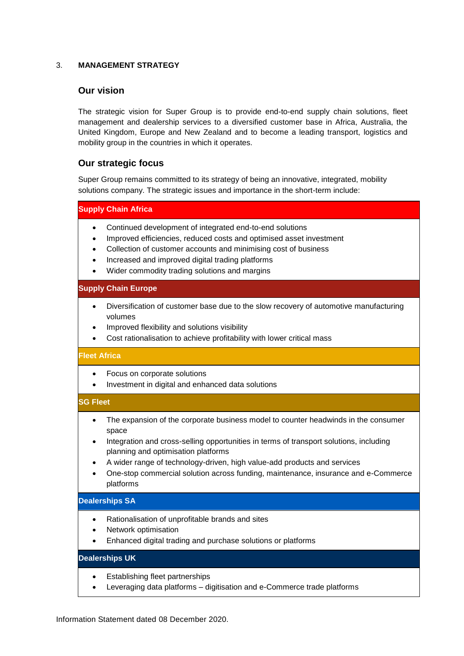## 3. **MANAGEMENT STRATEGY**

## **Our vision**

The strategic vision for Super Group is to provide end-to-end supply chain solutions, fleet management and dealership services to a diversified customer base in Africa, Australia, the United Kingdom, Europe and New Zealand and to become a leading transport, logistics and mobility group in the countries in which it operates.

## **Our strategic focus**

Super Group remains committed to its strategy of being an innovative, integrated, mobility solutions company. The strategic issues and importance in the short-term include:

**Supply Chain Africa**

- Continued development of integrated end-to-end solutions
- Improved efficiencies, reduced costs and optimised asset investment
- Collection of customer accounts and minimising cost of business
- Increased and improved digital trading platforms
- Wider commodity trading solutions and margins

## **Supply Chain Europe**

- Diversification of customer base due to the slow recovery of automotive manufacturing volumes
- Improved flexibility and solutions visibility
- Cost rationalisation to achieve profitability with lower critical mass

### **Fleet Africa**

- Focus on corporate solutions
- Investment in digital and enhanced data solutions

## **SG Fleet**

- The expansion of the corporate business model to counter headwinds in the consumer space
- Integration and cross-selling opportunities in terms of transport solutions, including planning and optimisation platforms
- A wider range of technology-driven, high value-add products and services
- One-stop commercial solution across funding, maintenance, insurance and e-Commerce platforms

### **Dealerships SA**

- Rationalisation of unprofitable brands and sites
- Network optimisation
- Enhanced digital trading and purchase solutions or platforms

## **Dealerships UK**

- Establishing fleet partnerships
- Leveraging data platforms digitisation and e-Commerce trade platforms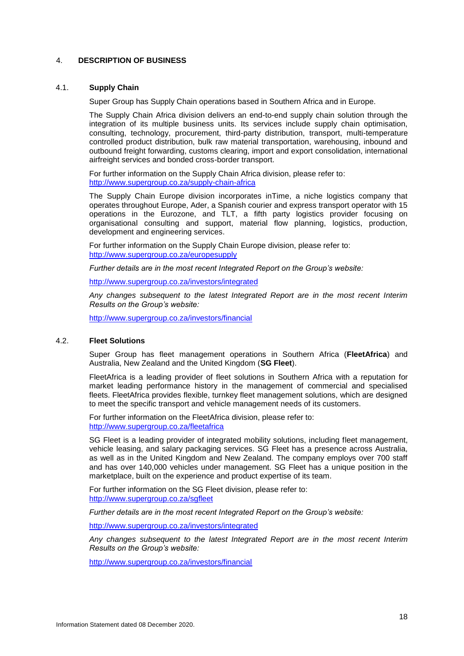## 4. **DESCRIPTION OF BUSINESS**

#### 4.1. **Supply Chain**

Super Group has Supply Chain operations based in Southern Africa and in Europe.

The Supply Chain Africa division delivers an end-to-end supply chain solution through the integration of its multiple business units. Its services include supply chain optimisation, consulting, technology, procurement, third-party distribution, transport, multi-temperature controlled product distribution, bulk raw material transportation, warehousing, inbound and outbound freight forwarding, customs clearing, import and export consolidation, international airfreight services and bonded cross-border transport.

For further information on the Supply Chain Africa division, please refer to: <http://www.supergroup.co.za/supply-chain-africa>

The Supply Chain Europe division incorporates inTime, a niche logistics company that operates throughout Europe, Ader, a Spanish courier and express transport operator with 15 operations in the Eurozone, and TLT, a fifth party logistics provider focusing on organisational consulting and support, material flow planning, logistics, production, development and engineering services.

For further information on the Supply Chain Europe division, please refer to: <http://www.supergroup.co.za/europesupply>

*Further details are in the most recent Integrated Report on the Group's website:*

<http://www.supergroup.co.za/investors/integrated>

*Any changes subsequent to the latest Integrated Report are in the most recent Interim Results on the Group's website:*

<http://www.supergroup.co.za/investors/financial>

## 4.2. **Fleet Solutions**

Super Group has fleet management operations in Southern Africa (**FleetAfrica**) and Australia, New Zealand and the United Kingdom (**SG Fleet**).

FleetAfrica is a leading provider of fleet solutions in Southern Africa with a reputation for market leading performance history in the management of commercial and specialised fleets. FleetAfrica provides flexible, turnkey fleet management solutions, which are designed to meet the specific transport and vehicle management needs of its customers.

For further information on the FleetAfrica division, please refer to: <http://www.supergroup.co.za/fleetafrica>

SG Fleet is a leading provider of integrated mobility solutions, including fleet management, vehicle leasing, and salary packaging services. SG Fleet has a presence across Australia, as well as in the United Kingdom and New Zealand. The company employs over 700 staff and has over 140,000 vehicles under management. SG Fleet has a unique position in the marketplace, built on the experience and product expertise of its team.

For further information on the SG Fleet division, please refer to: <http://www.supergroup.co.za/sgfleet>

*Further details are in the most recent Integrated Report on the Group's website:*

<http://www.supergroup.co.za/investors/integrated>

*Any changes subsequent to the latest Integrated Report are in the most recent Interim Results on the Group's website:*

<http://www.supergroup.co.za/investors/financial>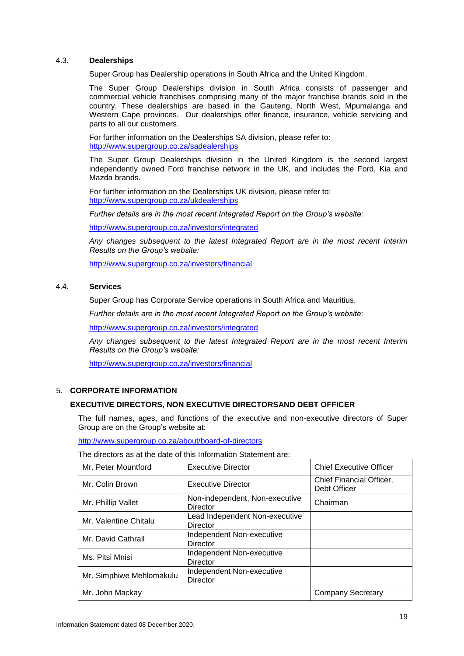## 4.3. **Dealerships**

Super Group has Dealership operations in South Africa and the United Kingdom.

The Super Group Dealerships division in South Africa consists of passenger and commercial vehicle franchises comprising many of the major franchise brands sold in the country. These dealerships are based in the Gauteng, North West, Mpumalanga and Western Cape provinces. Our dealerships offer finance, insurance, vehicle servicing and parts to all our customers.

For further information on the Dealerships SA division, please refer to: <http://www.supergroup.co.za/sadealerships>

The Super Group Dealerships division in the United Kingdom is the second largest independently owned Ford franchise network in the UK, and includes the Ford, Kia and Mazda brands.

For further information on the Dealerships UK division, please refer to: <http://www.supergroup.co.za/ukdealerships>

*Further details are in the most recent Integrated Report on the Group's website:*

<http://www.supergroup.co.za/investors/integrated>

*Any changes subsequent to the latest Integrated Report are in the most recent Interim Results on the Group's website:*

<http://www.supergroup.co.za/investors/financial>

### 4.4. **Services**

Super Group has Corporate Service operations in South Africa and Mauritius.

*Further details are in the most recent Integrated Report on the Group's website:*

<http://www.supergroup.co.za/investors/integrated>

*Any changes subsequent to the latest Integrated Report are in the most recent Interim Results on the Group's website:*

<http://www.supergroup.co.za/investors/financial>

## 5. **CORPORATE INFORMATION**

## **EXECUTIVE DIRECTORS, NON EXECUTIVE DIRECTORSAND DEBT OFFICER**

The full names, ages, and functions of the executive and non-executive directors of Super Group are on the Group's website at:

<http://www.supergroup.co.za/about/board-of-directors>

The directors as at the date of this Information Statement are:

| Mr. Peter Mountford      | <b>Executive Director</b>                         | <b>Chief Executive Officer</b>           |
|--------------------------|---------------------------------------------------|------------------------------------------|
| Mr. Colin Brown          | <b>Executive Director</b>                         | Chief Financial Officer,<br>Debt Officer |
| Mr. Phillip Vallet       | Non-independent, Non-executive<br>Director        | Chairman                                 |
| Mr. Valentine Chitalu    | Lead Independent Non-executive<br><b>Director</b> |                                          |
| Mr. David Cathrall       | Independent Non-executive<br>Director             |                                          |
| Ms. Pitsi Mnisi          | Independent Non-executive<br><b>Director</b>      |                                          |
| Mr. Simphiwe Mehlomakulu | Independent Non-executive<br><b>Director</b>      |                                          |
| Mr. John Mackay          |                                                   | <b>Company Secretary</b>                 |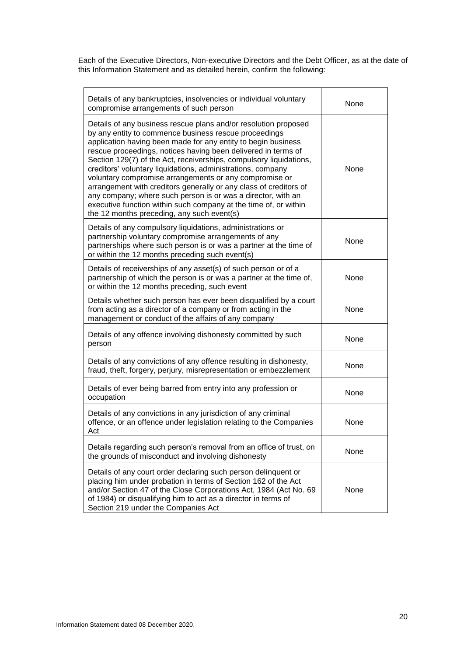Each of the Executive Directors, Non-executive Directors and the Debt Officer, as at the date of this Information Statement and as detailed herein, confirm the following:

| Details of any bankruptcies, insolvencies or individual voluntary<br>compromise arrangements of such person                                                                                                                                                                                                                                                                                                                                                                                                                                                                                                                                                                                                      | None        |
|------------------------------------------------------------------------------------------------------------------------------------------------------------------------------------------------------------------------------------------------------------------------------------------------------------------------------------------------------------------------------------------------------------------------------------------------------------------------------------------------------------------------------------------------------------------------------------------------------------------------------------------------------------------------------------------------------------------|-------------|
| Details of any business rescue plans and/or resolution proposed<br>by any entity to commence business rescue proceedings<br>application having been made for any entity to begin business<br>rescue proceedings, notices having been delivered in terms of<br>Section 129(7) of the Act, receiverships, compulsory liquidations,<br>creditors' voluntary liquidations, administrations, company<br>voluntary compromise arrangements or any compromise or<br>arrangement with creditors generally or any class of creditors of<br>any company; where such person is or was a director, with an<br>executive function within such company at the time of, or within<br>the 12 months preceding, any such event(s) | <b>None</b> |
| Details of any compulsory liquidations, administrations or<br>partnership voluntary compromise arrangements of any<br>partnerships where such person is or was a partner at the time of<br>or within the 12 months preceding such event(s)                                                                                                                                                                                                                                                                                                                                                                                                                                                                       | None        |
| Details of receiverships of any asset(s) of such person or of a<br>partnership of which the person is or was a partner at the time of,<br>or within the 12 months preceding, such event                                                                                                                                                                                                                                                                                                                                                                                                                                                                                                                          | None        |
| Details whether such person has ever been disqualified by a court<br>from acting as a director of a company or from acting in the<br>management or conduct of the affairs of any company                                                                                                                                                                                                                                                                                                                                                                                                                                                                                                                         | None        |
| Details of any offence involving dishonesty committed by such<br>person                                                                                                                                                                                                                                                                                                                                                                                                                                                                                                                                                                                                                                          | None        |
| Details of any convictions of any offence resulting in dishonesty,<br>fraud, theft, forgery, perjury, misrepresentation or embezzlement                                                                                                                                                                                                                                                                                                                                                                                                                                                                                                                                                                          | None        |
| Details of ever being barred from entry into any profession or<br>occupation                                                                                                                                                                                                                                                                                                                                                                                                                                                                                                                                                                                                                                     | None        |
| Details of any convictions in any jurisdiction of any criminal<br>offence, or an offence under legislation relating to the Companies<br>Act                                                                                                                                                                                                                                                                                                                                                                                                                                                                                                                                                                      | None        |
| Details regarding such person's removal from an office of trust, on<br>the grounds of misconduct and involving dishonesty                                                                                                                                                                                                                                                                                                                                                                                                                                                                                                                                                                                        | None        |
| Details of any court order declaring such person delinquent or<br>placing him under probation in terms of Section 162 of the Act<br>and/or Section 47 of the Close Corporations Act, 1984 (Act No. 69<br>of 1984) or disqualifying him to act as a director in terms of<br>Section 219 under the Companies Act                                                                                                                                                                                                                                                                                                                                                                                                   | None        |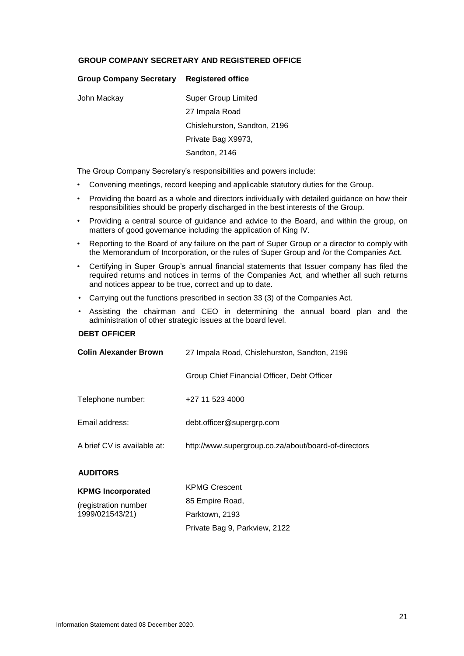## **GROUP COMPANY SECRETARY AND REGISTERED OFFICE**

| <b>Super Group Limited</b>   |
|------------------------------|
| 27 Impala Road               |
| Chislehurston, Sandton, 2196 |
| Private Bag X9973,           |
| Sandton, 2146                |
|                              |

**Group Company Secretary Registered office**

The Group Company Secretary's responsibilities and powers include:

- Convening meetings, record keeping and applicable statutory duties for the Group.
- Providing the board as a whole and directors individually with detailed guidance on how their responsibilities should be properly discharged in the best interests of the Group.
- Providing a central source of guidance and advice to the Board, and within the group, on matters of good governance including the application of King IV.
- Reporting to the Board of any failure on the part of Super Group or a director to comply with the Memorandum of Incorporation, or the rules of Super Group and /or the Companies Act.
- Certifying in Super Group's annual financial statements that Issuer company has filed the required returns and notices in terms of the Companies Act, and whether all such returns and notices appear to be true, correct and up to date.
- Carrying out the functions prescribed in section 33 (3) of the Companies Act.
- Assisting the chairman and CEO in determining the annual board plan and the administration of other strategic issues at the board level.

## **DEBT OFFICER**

| <b>Colin Alexander Brown</b> | 27 Impala Road, Chislehurston, Sandton, 2196         |  |
|------------------------------|------------------------------------------------------|--|
|                              | Group Chief Financial Officer, Debt Officer          |  |
| Telephone number:            | +27 11 523 4000                                      |  |
| Email address:               | debt.officer@supergrp.com                            |  |
| A brief CV is available at:  | http://www.supergroup.co.za/about/board-of-directors |  |
| <b>AUDITORS</b>              |                                                      |  |
| <b>KPMG Incorporated</b>     | <b>KPMG Crescent</b>                                 |  |
| (registration number         | 85 Empire Road,                                      |  |
| 1999/021543/21)              | Parktown, 2193                                       |  |

Private Bag 9, Parkview, 2122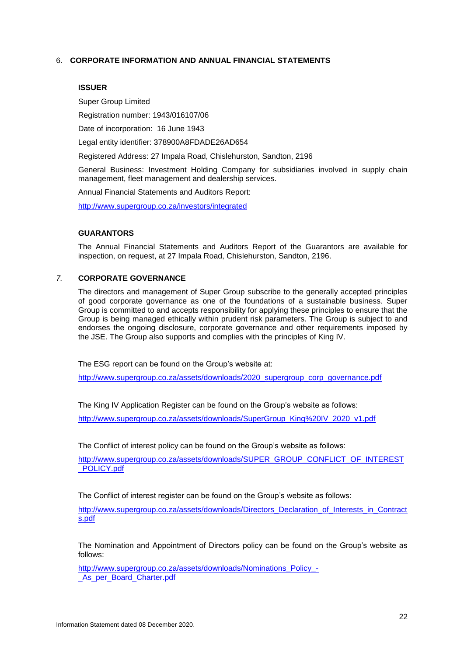## 6. **CORPORATE INFORMATION AND ANNUAL FINANCIAL STATEMENTS**

#### **ISSUER**

Super Group Limited

Registration number: 1943/016107/06

Date of incorporation: 16 June 1943

Legal entity identifier: 378900A8FDADE26AD654

Registered Address: 27 Impala Road, Chislehurston, Sandton, 2196

General Business: Investment Holding Company for subsidiaries involved in supply chain management, fleet management and dealership services.

Annual Financial Statements and Auditors Report:

<http://www.supergroup.co.za/investors/integrated>

#### **GUARANTORS**

The Annual Financial Statements and Auditors Report of the Guarantors are available for inspection, on request, at 27 Impala Road, Chislehurston, Sandton, 2196.

## *7.* **CORPORATE GOVERNANCE**

The directors and management of Super Group subscribe to the generally accepted principles of good corporate governance as one of the foundations of a sustainable business. Super Group is committed to and accepts responsibility for applying these principles to ensure that the Group is being managed ethically within prudent risk parameters. The Group is subject to and endorses the ongoing disclosure, corporate governance and other requirements imposed by the JSE. The Group also supports and complies with the principles of King IV.

The ESG report can be found on the Group's website at:

[http://www.supergroup.co.za/assets/downloads/2020\\_supergroup\\_corp\\_governance.pdf](http://www.supergroup.co.za/assets/downloads/2020_supergroup_corp_governance.pdf)

The King IV Application Register can be found on the Group's website as follows:

[http://www.supergroup.co.za/assets/downloads/SuperGroup\\_King%20IV\\_2020\\_v1.pdf](http://www.supergroup.co.za/assets/downloads/SuperGroup_King%20IV_2020_v1.pdf)

The Conflict of interest policy can be found on the Group's website as follows:

http://www.supergroup.co.za/assets/downloads/SUPER\_GROUP\_CONFLICT\_OF\_INTEREST \_POLICY.pdf

The Conflict of interest register can be found on the Group's website as follows:

http://www.supergroup.co.za/assets/downloads/Directors\_Declaration\_of\_Interests\_in\_Contract s.pdf

The Nomination and Appointment of Directors policy can be found on the Group's website as follows:

http://www.supergroup.co.za/assets/downloads/Nominations\_Policy\_-As per Board Charter.pdf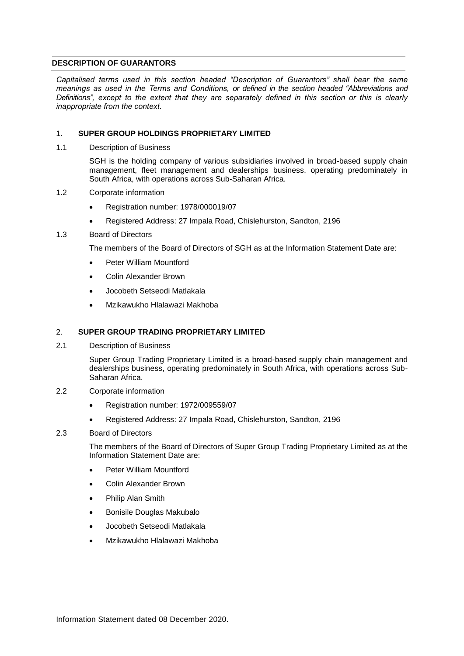## <span id="page-23-0"></span>**DESCRIPTION OF GUARANTORS**

*Capitalised terms used in this section headed "Description of Guarantors" shall bear the same meanings as used in the Terms and Conditions, or defined in the section headed "Abbreviations and Definitions", except to the extent that they are separately defined in this section or this is clearly inappropriate from the context.*

## 1. **SUPER GROUP HOLDINGS PROPRIETARY LIMITED**

1.1 Description of Business

SGH is the holding company of various subsidiaries involved in broad-based supply chain management, fleet management and dealerships business, operating predominately in South Africa, with operations across Sub-Saharan Africa.

- 1.2 Corporate information
	- Registration number: 1978/000019/07
	- Registered Address: 27 Impala Road, Chislehurston, Sandton, 2196

## 1.3 Board of Directors

The members of the Board of Directors of SGH as at the Information Statement Date are:

- Peter William Mountford
- Colin Alexander Brown
- Jocobeth Setseodi Matlakala
- Mzikawukho Hlalawazi Makhoba

## 2. **SUPER GROUP TRADING PROPRIETARY LIMITED**

2.1 Description of Business

Super Group Trading Proprietary Limited is a broad-based supply chain management and dealerships business, operating predominately in South Africa, with operations across Sub-Saharan Africa.

- 2.2 Corporate information
	- Registration number: 1972/009559/07
	- Registered Address: 27 Impala Road, Chislehurston, Sandton, 2196

### 2.3 Board of Directors

The members of the Board of Directors of Super Group Trading Proprietary Limited as at the Information Statement Date are:

- Peter William Mountford
- Colin Alexander Brown
- Philip Alan Smith
- Bonisile Douglas Makubalo
- Jocobeth Setseodi Matlakala
- Mzikawukho Hlalawazi Makhoba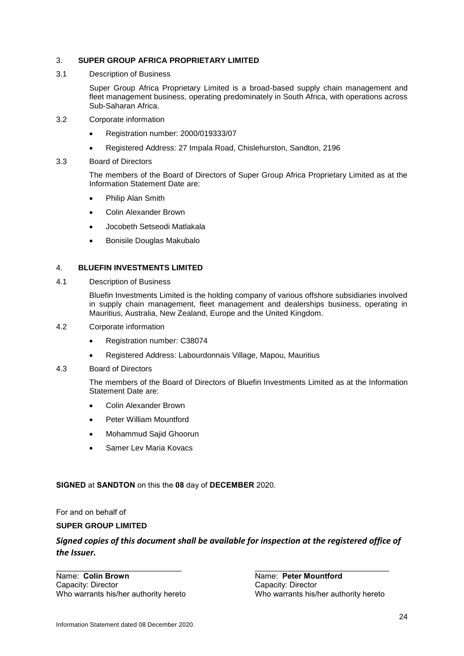## 3. **SUPER GROUP AFRICA PROPRIETARY LIMITED**

3.1 Description of Business

Super Group Africa Proprietary Limited is a broad-based supply chain management and fleet management business, operating predominately in South Africa, with operations across Sub-Saharan Africa.

- 3.2 Corporate information
	- Registration number: 2000/019333/07
	- Registered Address: 27 Impala Road, Chislehurston, Sandton, 2196
- 3.3 Board of Directors

The members of the Board of Directors of Super Group Africa Proprietary Limited as at the Information Statement Date are:

- Philip Alan Smith
- Colin Alexander Brown
- Jocobeth Setseodi Matlakala
- Bonisile Douglas Makubalo

## 4. **BLUEFIN INVESTMENTS LIMITED**

4.1 Description of Business

Bluefin Investments Limited is the holding company of various offshore subsidiaries involved in supply chain management, fleet management and dealerships business, operating in Mauritius, Australia, New Zealand, Europe and the United Kingdom.

- 4.2 Corporate information
	- Registration number: C38074
	- Registered Address: Labourdonnais Village, Mapou, Mauritius
- 4.3 Board of Directors

The members of the Board of Directors of Bluefin Investments Limited as at the Information Statement Date are:

- Colin Alexander Brown
- Peter William Mountford
- Mohammud Sajid Ghoorun
- Samer Lev Maria Kovacs

### **SIGNED** at **SANDTON** on this the **08** day of **DECEMBER** 2020.

For and on behalf of

## **SUPER GROUP LIMITED**

## *Signed copies of this document shall be available for inspection at the registered office of the Issuer.*

\_\_\_\_\_\_\_\_\_\_\_\_\_\_\_\_\_\_\_\_\_\_\_\_\_\_\_\_\_ \_\_\_\_\_\_\_\_\_\_\_\_\_\_\_\_\_\_\_\_\_\_\_\_\_\_\_\_\_\_\_

Name: **Colin Brown**<br>
Capacity: Director<br>
Capacity: Director<br>
Capacity: Director Capacity: Director

Who warrants his/her authority hereto Who warrants his/her authority hereto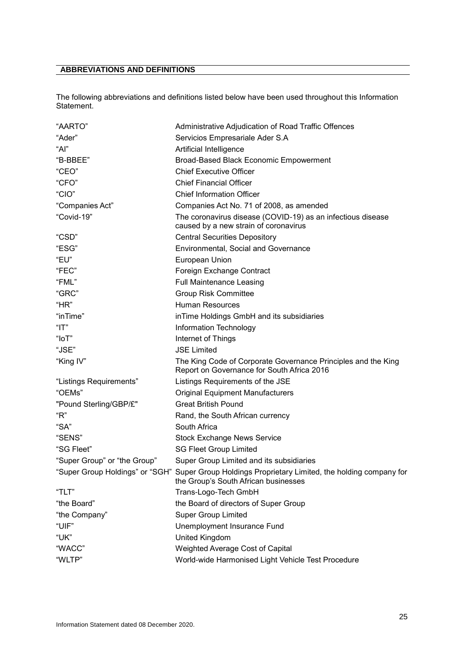## <span id="page-25-0"></span>**ABBREVIATIONS AND DEFINITIONS**

The following abbreviations and definitions listed below have been used throughout this Information Statement.

| "AARTO"                      | Administrative Adjudication of Road Traffic Offences                                                                                      |
|------------------------------|-------------------------------------------------------------------------------------------------------------------------------------------|
| "Ader"                       | Servicios Empresariale Ader S.A                                                                                                           |
| "Al"                         | Artificial Intelligence                                                                                                                   |
| "B-BBEE"                     | Broad-Based Black Economic Empowerment                                                                                                    |
| "CEO"                        | <b>Chief Executive Officer</b>                                                                                                            |
| "CFO"                        | <b>Chief Financial Officer</b>                                                                                                            |
| "CIO"                        | <b>Chief Information Officer</b>                                                                                                          |
| "Companies Act"              | Companies Act No. 71 of 2008, as amended                                                                                                  |
| "Covid-19"                   | The coronavirus disease (COVID-19) as an infectious disease<br>caused by a new strain of coronavirus                                      |
| "CSD"                        | <b>Central Securities Depository</b>                                                                                                      |
| "ESG"                        | Environmental, Social and Governance                                                                                                      |
| "EU"                         | European Union                                                                                                                            |
| "FEC"                        | Foreign Exchange Contract                                                                                                                 |
| "FML"                        | <b>Full Maintenance Leasing</b>                                                                                                           |
| "GRC"                        | <b>Group Risk Committee</b>                                                                                                               |
| "HR"                         | <b>Human Resources</b>                                                                                                                    |
| "inTime"                     | in Time Holdings GmbH and its subsidiaries                                                                                                |
| "IT"                         | Information Technology                                                                                                                    |
| "loT"                        | Internet of Things                                                                                                                        |
| "JSE"                        | <b>JSE Limited</b>                                                                                                                        |
| "King IV"                    | The King Code of Corporate Governance Principles and the King<br>Report on Governance for South Africa 2016                               |
| "Listings Requirements"      | Listings Requirements of the JSE                                                                                                          |
| "OEMs"                       | <b>Original Equipment Manufacturers</b>                                                                                                   |
| "Pound Sterling/GBP/£"       | <b>Great British Pound</b>                                                                                                                |
| "R"                          | Rand, the South African currency                                                                                                          |
| "SA"                         | South Africa                                                                                                                              |
| "SENS"                       | <b>Stock Exchange News Service</b>                                                                                                        |
| "SG Fleet"                   | <b>SG Fleet Group Limited</b>                                                                                                             |
| "Super Group" or "the Group" | Super Group Limited and its subsidiaries                                                                                                  |
|                              | "Super Group Holdings" or "SGH" Super Group Holdings Proprietary Limited, the holding company for<br>the Group's South African businesses |
| "TLT"                        | Trans-Logo-Tech GmbH                                                                                                                      |
| "the Board"                  | the Board of directors of Super Group                                                                                                     |
| "the Company"                | <b>Super Group Limited</b>                                                                                                                |
| "UIF"                        | Unemployment Insurance Fund                                                                                                               |
| "UK"                         | United Kingdom                                                                                                                            |
| "WACC"                       | Weighted Average Cost of Capital                                                                                                          |
| "WLTP"                       | World-wide Harmonised Light Vehicle Test Procedure                                                                                        |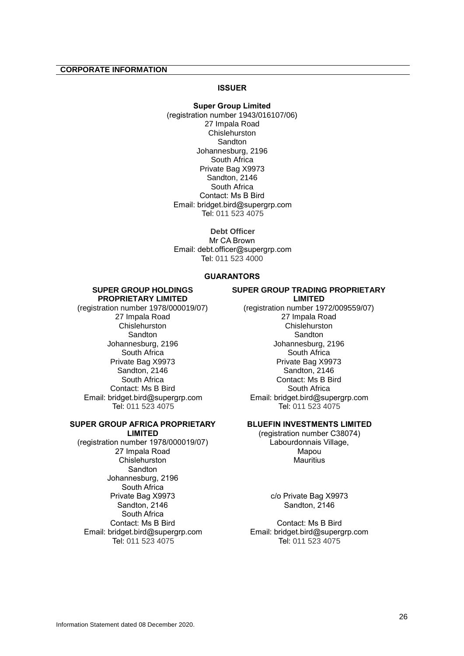#### <span id="page-26-0"></span>**CORPORATE INFORMATION**

#### **ISSUER**

**Super Group Limited** (registration number 1943/016107/06) 27 Impala Road Chislehurston Sandton Johannesburg, 2196 South Africa Private Bag X9973 Sandton, 2146 South Africa Contact: Ms B Bird Email: bridget.bird@supergrp.com Tel: 011 523 4075

**Debt Officer** Mr CA Brown Email: debt.officer@supergrp.com Tel: 011 523 4000

### **GUARANTORS**

#### **SUPER GROUP HOLDINGS PROPRIETARY LIMITED**

(registration number 1978/000019/07) 27 Impala Road **Chislehurston Sandton** Johannesburg, 2196 South Africa Private Bag X9973 Sandton, 2146 South Africa Contact: Ms B Bird Email: bridget.bird@supergrp.com Tel: 011 523 4075

#### **SUPER GROUP AFRICA PROPRIETARY LIMITED**

(registration number 1978/000019/07) 27 Impala Road Chislehurston Sandton Johannesburg, 2196 South Africa Private Bag X9973 Sandton, 2146 South Africa Contact: Ms B Bird Email: bridget.bird@supergrp.com Tel: 011 523 4075

#### **SUPER GROUP TRADING PROPRIETARY LIMITED**

(registration number 1972/009559/07) 27 Impala Road **Chislehurston Sandton** Johannesburg, 2196 South Africa Private Bag X9973 Sandton, 2146 Contact: Ms B Bird South Africa Email: bridget.bird@supergrp.com Tel: 011 523 4075

## **BLUEFIN INVESTMENTS LIMITED**

(registration number C38074) Labourdonnais Village, Mapou **Mauritius** 

> c/o Private Bag X9973 Sandton, 2146

Contact: Ms B Bird Email: bridget.bird@supergrp.com Tel: 011 523 4075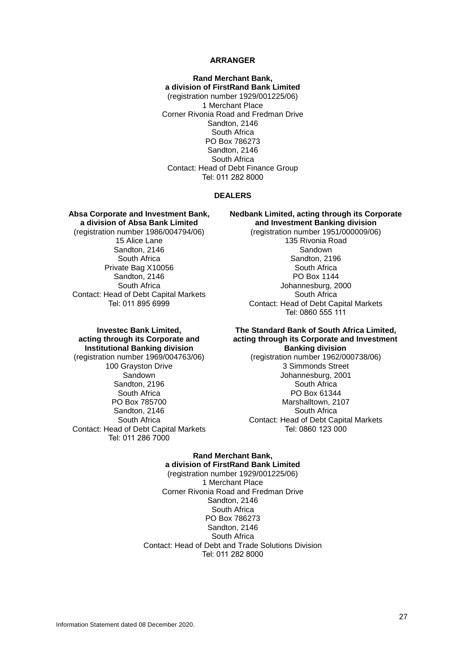#### **ARRANGER**

**Rand Merchant Bank, a division of FirstRand Bank Limited** (registration number 1929/001225/06) 1 Merchant Place Corner Rivonia Road and Fredman Drive Sandton, 2146 South Africa PO Box 786273 Sandton, 2146 South Africa Contact: Head of Debt Finance Group Tel: 011 282 8000

#### **DEALERS**

**Absa Corporate and Investment Bank, a division of Absa Bank Limited** (registration number 1986/004794/06) 15 Alice Lane Sandton, 2146 South Africa Private Bag X10056 Sandton, 2146 South Africa Contact: Head of Debt Capital Markets Tel: 011 895 6999

**Nedbank Limited, acting through its Corporate and Investment Banking division**

> (registration number 1951/000009/06) 135 Rivonia Road Sandown Sandton, 2196 South Africa PO Box 1144 Johannesburg, 2000 South Africa Contact: Head of Debt Capital Markets Tel: 0860 555 111

## **Investec Bank Limited, acting through its Corporate and Institutional Banking division**

(registration number 1969/004763/06) 100 Grayston Drive Sandown Sandton, 2196 South Africa PO Box 785700 Sandton, 2146 South Africa Contact: Head of Debt Capital Markets Tel: 011 286 7000

#### **The Standard Bank of South Africa Limited, acting through its Corporate and Investment Banking division**

(registration number 1962/000738/06) 3 Simmonds Street Johannesburg, 2001 South Africa PO Box 61344 Marshalltown, 2107 South Africa Contact: Head of Debt Capital Markets Tel: 0860 123 000

## **Rand Merchant Bank, a division of FirstRand Bank Limited**

(registration number 1929/001225/06) 1 Merchant Place Corner Rivonia Road and Fredman Drive Sandton, 2146 South Africa PO Box 786273 Sandton, 2146 South Africa Contact: Head of Debt and Trade Solutions Division Tel: 011 282 8000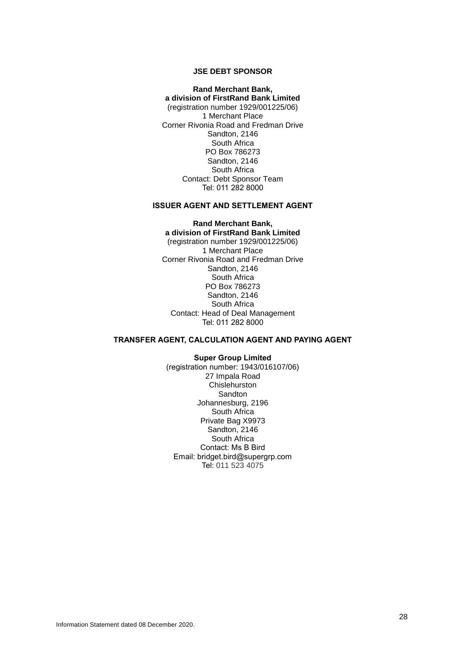## **JSE DEBT SPONSOR**

**Rand Merchant Bank, a division of FirstRand Bank Limited** (registration number 1929/001225/06) 1 Merchant Place Corner Rivonia Road and Fredman Drive Sandton, 2146 South Africa PO Box 786273 Sandton, 2146 South Africa Contact: Debt Sponsor Team Tel: 011 282 8000

#### **ISSUER AGENT AND SETTLEMENT AGENT**

**Rand Merchant Bank, a division of FirstRand Bank Limited** (registration number 1929/001225/06) 1 Merchant Place Corner Rivonia Road and Fredman Drive Sandton, 2146 South Africa PO Box 786273 Sandton, 2146 South Africa Contact: Head of Deal Management Tel: 011 282 8000

### **TRANSFER AGENT, CALCULATION AGENT AND PAYING AGENT**

**Super Group Limited** (registration number: 1943/016107/06) 27 Impala Road **Chislehurston Sandton** Johannesburg, 2196 South Africa Private Bag X9973 Sandton, 2146 South Africa Contact: Ms B Bird Email: bridget.bird@supergrp.com Tel: 011 523 4075